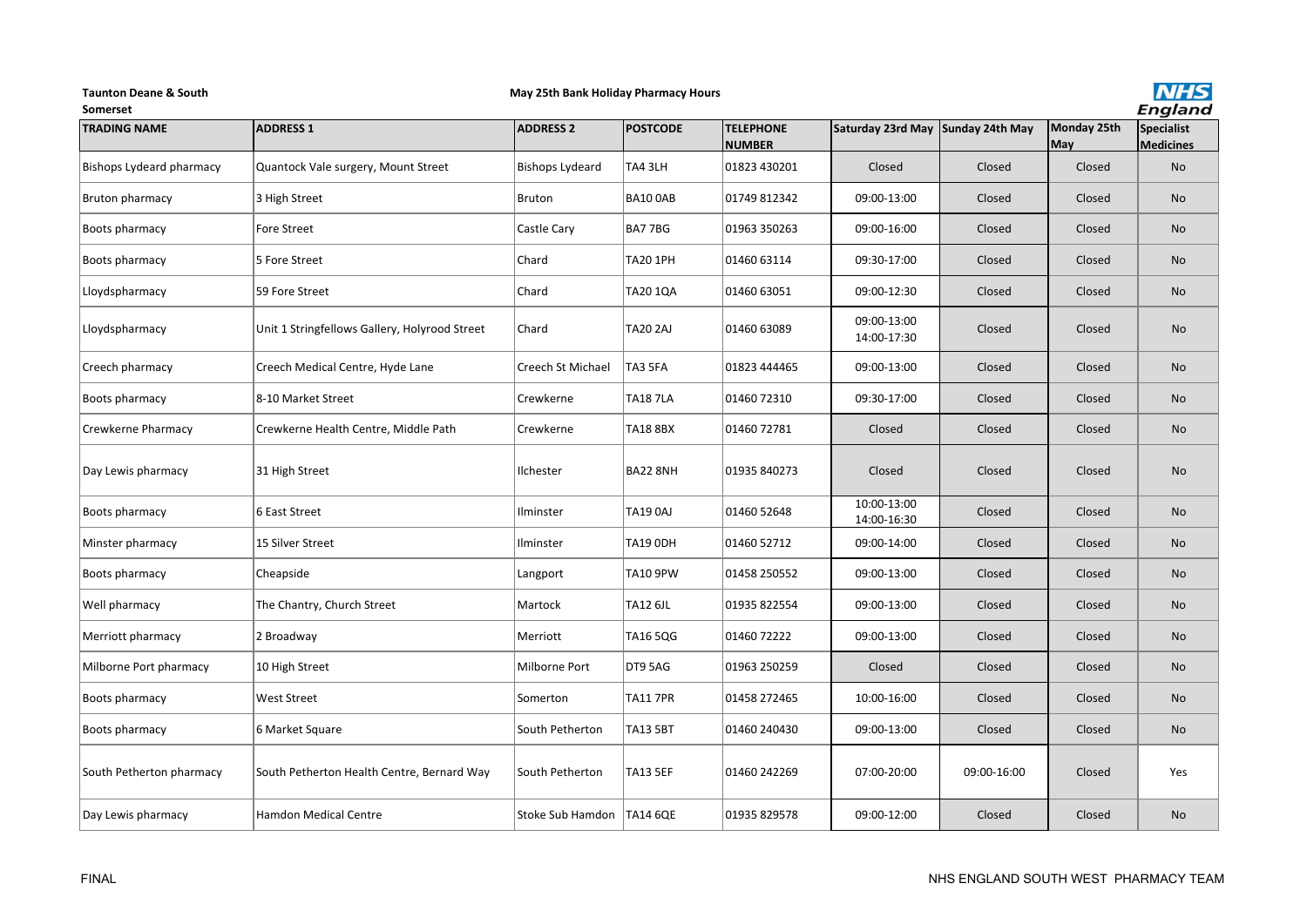#### **Taunton Deane & South**

# **May 25th Bank Holiday Pharmacy Hours**



| Somerset                 |                                               |                             |                 |                                   |                            |                 |                    | <b>England</b>                 |
|--------------------------|-----------------------------------------------|-----------------------------|-----------------|-----------------------------------|----------------------------|-----------------|--------------------|--------------------------------|
| <b>TRADING NAME</b>      | <b>ADDRESS 1</b>                              | <b>ADDRESS 2</b>            | <b>POSTCODE</b> | <b>TELEPHONE</b><br><b>NUMBER</b> | Saturday 23rd May          | Sunday 24th May | Monday 25th<br>May | Specialist<br><b>Medicines</b> |
| Bishops Lydeard pharmacy | Quantock Vale surgery, Mount Street           | <b>Bishops Lydeard</b>      | TA4 3LH         | 01823 430201                      | Closed                     | Closed          | Closed             | No                             |
| Bruton pharmacy          | 3 High Street                                 | <b>Bruton</b>               | BA10 OAB        | 01749 812342                      | 09:00-13:00                | Closed          | Closed             | No                             |
| Boots pharmacy           | <b>Fore Street</b>                            | Castle Cary                 | BA77BG          | 01963 350263                      | 09:00-16:00                | Closed          | Closed             | No                             |
| Boots pharmacy           | 5 Fore Street                                 | Chard                       | <b>TA20 1PH</b> | 01460 63114                       | 09:30-17:00                | Closed          | Closed             | No                             |
| Lloydspharmacy           | 59 Fore Street                                | Chard                       | TA20 1QA        | 01460 63051                       | 09:00-12:30                | Closed          | Closed             | No                             |
| Lloydspharmacy           | Unit 1 Stringfellows Gallery, Holyrood Street | Chard                       | <b>TA20 2AJ</b> | 01460 63089                       | 09:00-13:00<br>14:00-17:30 | Closed          | Closed             | No                             |
| Creech pharmacy          | Creech Medical Centre, Hyde Lane              | Creech St Michael           | TA3 5FA         | 01823 444465                      | 09:00-13:00                | Closed          | Closed             | <b>No</b>                      |
| Boots pharmacy           | 8-10 Market Street                            | Crewkerne                   | <b>TA18 7LA</b> | 01460 72310                       | 09:30-17:00                | Closed          | Closed             | No                             |
| Crewkerne Pharmacy       | Crewkerne Health Centre, Middle Path          | Crewkerne                   | <b>TA18 8BX</b> | 01460 72781                       | Closed                     | Closed          | Closed             | No                             |
| Day Lewis pharmacy       | 31 High Street                                | Ilchester                   | <b>BA22 8NH</b> | 01935 840273                      | Closed                     | Closed          | Closed             | No                             |
| Boots pharmacy           | 6 East Street                                 | Ilminster                   | <b>TA19 0AJ</b> | 01460 52648                       | 10:00-13:00<br>14:00-16:30 | Closed          | Closed             | No                             |
| Minster pharmacy         | 15 Silver Street                              | Ilminster                   | <b>TA19 ODH</b> | 01460 52712                       | 09:00-14:00                | Closed          | Closed             | No                             |
| Boots pharmacy           | Cheapside                                     | Langport                    | <b>TA10 9PW</b> | 01458 250552                      | 09:00-13:00                | Closed          | Closed             | No                             |
| Well pharmacy            | The Chantry, Church Street                    | Martock                     | <b>TA12 6JL</b> | 01935 822554                      | 09:00-13:00                | Closed          | Closed             | No                             |
| Merriott pharmacy        | 2 Broadway                                    | Merriott                    | TA16 5QG        | 01460 72222                       | 09:00-13:00                | Closed          | Closed             | <b>No</b>                      |
| Milborne Port pharmacy   | 10 High Street                                | Milborne Port               | DT9 5AG         | 01963 250259                      | Closed                     | Closed          | Closed             | No                             |
| Boots pharmacy           | West Street                                   | Somerton                    | <b>TA11 7PR</b> | 01458 272465                      | 10:00-16:00                | Closed          | Closed             | No                             |
| Boots pharmacy           | 6 Market Square                               | South Petherton             | <b>TA13 5BT</b> | 01460 240430                      | 09:00-13:00                | Closed          | Closed             | No                             |
| South Petherton pharmacy | South Petherton Health Centre, Bernard Way    | South Petherton             | <b>TA13 5EF</b> | 01460 242269                      | 07:00-20:00                | 09:00-16:00     | Closed             | Yes                            |
| Day Lewis pharmacy       | <b>Hamdon Medical Centre</b>                  | Stoke Sub Hamdon   TA14 6QE |                 | 01935 829578                      | 09:00-12:00                | Closed          | Closed             | No                             |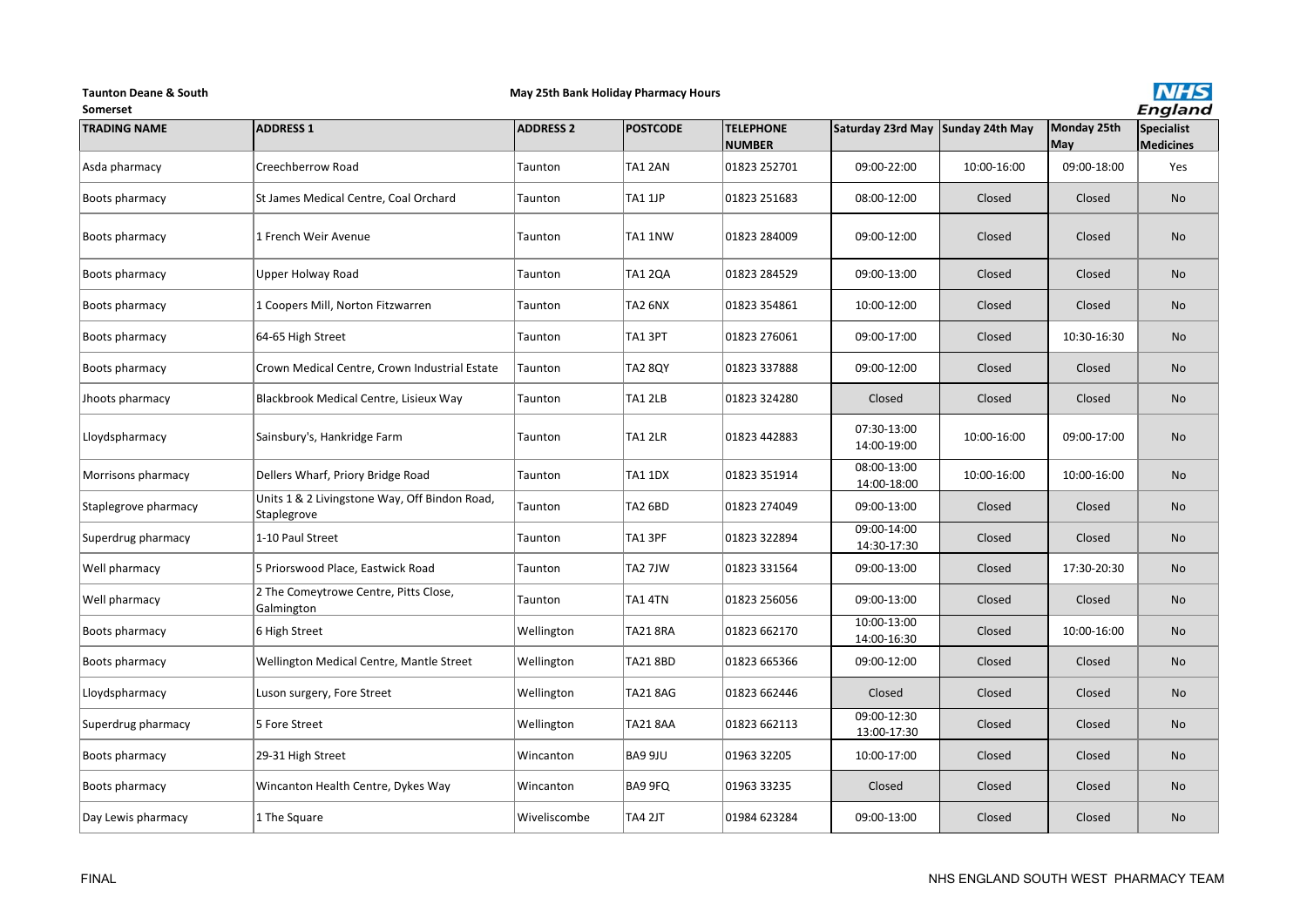#### **Taunton Deane & South**

# **May 25th Bank Holiday Pharmacy Hours**



| <b>Somerset</b>      |                                                              |                  |                 |                                   |                                   |             |                    | <b>England</b>          |
|----------------------|--------------------------------------------------------------|------------------|-----------------|-----------------------------------|-----------------------------------|-------------|--------------------|-------------------------|
| <b>TRADING NAME</b>  | <b>ADDRESS 1</b>                                             | <b>ADDRESS 2</b> | <b>POSTCODE</b> | <b>TELEPHONE</b><br><b>NUMBER</b> | Saturday 23rd May Sunday 24th May |             | Monday 25th<br>May | Specialist<br>Medicines |
| Asda pharmacy        | Creechberrow Road                                            | Taunton          | TA1 2AN         | 01823 252701                      | 09:00-22:00                       | 10:00-16:00 | 09:00-18:00        | Yes                     |
| Boots pharmacy       | St James Medical Centre, Coal Orchard                        | Taunton          | TA1 1JP         | 01823 251683                      | 08:00-12:00                       | Closed      | Closed             | <b>No</b>               |
| Boots pharmacy       | 1 French Weir Avenue                                         | Taunton          | TA1 1NW         | 01823 284009                      | 09:00-12:00                       | Closed      | Closed             | <b>No</b>               |
| Boots pharmacy       | Upper Holway Road                                            | Taunton          | <b>TA1 2QA</b>  | 01823 284529                      | 09:00-13:00                       | Closed      | Closed             | <b>No</b>               |
| Boots pharmacy       | 1 Coopers Mill, Norton Fitzwarren                            | Taunton          | TA2 6NX         | 01823 354861                      | 10:00-12:00                       | Closed      | Closed             | <b>No</b>               |
| Boots pharmacy       | 64-65 High Street                                            | Taunton          | TA13PT          | 01823 276061                      | 09:00-17:00                       | Closed      | 10:30-16:30        | <b>No</b>               |
| Boots pharmacy       | Crown Medical Centre, Crown Industrial Estate                | Taunton          | <b>TA2 8QY</b>  | 01823 337888                      | 09:00-12:00                       | Closed      | Closed             | No                      |
| Jhoots pharmacy      | Blackbrook Medical Centre, Lisieux Way                       | Taunton          | TA1 2LB         | 01823 324280                      | Closed                            | Closed      | Closed             | No                      |
| Lloydspharmacy       | Sainsbury's, Hankridge Farm                                  | Taunton          | TA1 2LR         | 01823 442883                      | 07:30-13:00<br>14:00-19:00        | 10:00-16:00 | 09:00-17:00        | <b>No</b>               |
| Morrisons pharmacy   | Dellers Wharf, Priory Bridge Road                            | Taunton          | <b>TA1 1DX</b>  | 01823 351914                      | 08:00-13:00<br>14:00-18:00        | 10:00-16:00 | 10:00-16:00        | <b>No</b>               |
| Staplegrove pharmacy | Units 1 & 2 Livingstone Way, Off Bindon Road,<br>Staplegrove | Taunton          | TA2 6BD         | 01823 274049                      | 09:00-13:00                       | Closed      | Closed             | <b>No</b>               |
| Superdrug pharmacy   | 1-10 Paul Street                                             | Taunton          | TA1 3PF         | 01823 322894                      | 09:00-14:00<br>14:30-17:30        | Closed      | Closed             | <b>No</b>               |
| Well pharmacy        | 5 Priorswood Place, Eastwick Road                            | Taunton          | TA2 7JW         | 01823 331564                      | 09:00-13:00                       | Closed      | 17:30-20:30        | <b>No</b>               |
| Well pharmacy        | 2 The Comeytrowe Centre, Pitts Close,<br>Galmington          | Taunton          | TA1 4TN         | 01823 256056                      | 09:00-13:00                       | Closed      | Closed             | <b>No</b>               |
| Boots pharmacy       | 6 High Street                                                | Wellington       | <b>TA21 8RA</b> | 01823 662170                      | 10:00-13:00<br>14:00-16:30        | Closed      | 10:00-16:00        | <b>No</b>               |
| Boots pharmacy       | Wellington Medical Centre, Mantle Street                     | Wellington       | <b>TA21 8BD</b> | 01823 665366                      | 09:00-12:00                       | Closed      | Closed             | <b>No</b>               |
| Lloydspharmacy       | Luson surgery, Fore Street                                   | Wellington       | <b>TA21 8AG</b> | 01823 662446                      | Closed                            | Closed      | Closed             | <b>No</b>               |
| Superdrug pharmacy   | 5 Fore Street                                                | Wellington       | <b>TA21 8AA</b> | 01823 662113                      | 09:00-12:30<br>13:00-17:30        | Closed      | Closed             | <b>No</b>               |
| Boots pharmacy       | 29-31 High Street                                            | Wincanton        | BA9 9JU         | 01963 32205                       | 10:00-17:00                       | Closed      | Closed             | <b>No</b>               |
| Boots pharmacy       | Wincanton Health Centre, Dykes Way                           | Wincanton        | <b>BA9 9FQ</b>  | 01963 33235                       | Closed                            | Closed      | Closed             | <b>No</b>               |
| Day Lewis pharmacy   | 1 The Square                                                 | Wiveliscombe     | TA4 2JT         | 01984 623284                      | 09:00-13:00                       | Closed      | Closed             | <b>No</b>               |